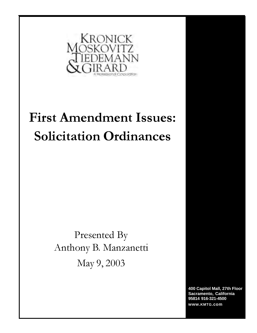

# First Amendment Issues: Solicitation Ordinances

Presented By Anthony B. Manzanetti May 9, 2003

> **400 Capitol Mall, 27th Floor Sacramento, California 95814 916-321-4500 www.KMTG.com**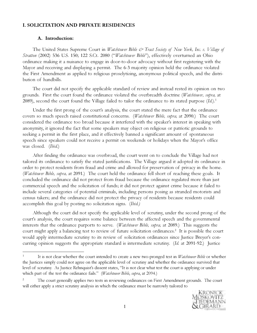#### I. SOLICITATION AND PRIVATE RESIDENCES

#### A. Introduction:

The United States Supreme Court in *Watchtower Bible*  $\ll$  *Tract Society of New York, Inc. v. Village of* Stratton (2002) 536 U.S. 150; 122 S.Ct. 2080 ("Watchtower Bible"), effectively overturned an Ohio ordinance making it a nuisance to engage in door-to-door advocacy without first registering with the Mayor and receiving and displaying a permit. The 6-3 majority opinion held the ordinance violated the First Amendment as applied to religious proselytizing, anonymous political speech, and the distribution of handbills.

The court did not specify the applicable standard of review and instead rested its opinion on two grounds. First the court found the ordinance violated the overbreadth doctrine (Watchtower, supra, at 2089), second the court found the Village failed to tailor the ordinance to its stated purpose  $(Id.)$ <sup>1</sup>

Under the first prong of the court's analysis, the court stated the mere fact that the ordinance covers so much speech raised constitutional concerns. (Watchtower Bible, supra, at 2090.) The court considered the ordinance too broad because it interfered with the speaker's interest in speaking with anonymity, it ignored the fact that some speakers may object on religious or patriotic grounds to seeking a permit in the first place, and it effectively banned a significant amount of spontaneous speech since speakers could not receive a permit on weekends or holidays when the Mayor's office was closed. (Ibid.)

After finding the ordinance was overbroad, the court went on to conclude the Village had not tailored its ordinance to satisfy the stated justifications. The Village argued it adopted its ordinance in order to protect residents from fraud and crime and allowed for preservation of privacy in the home. (Watchtower Bible, supra, at 2091.) The court held the ordinance fell short of reaching these goals. It concluded the ordinance did not protect from fraud because the ordinance regulated more than just commercial speech and the solicitation of funds; it did not protect against crime because it failed to include several categories of potential criminals, including persons posing as stranded motorists and census takers; and the ordinance did not protect the privacy of residents because residents could accomplish this goal by posting no solicitation signs. (Ibid.)

Although the court did not specify the applicable level of scrutiny, under the second prong of the court's analysis, the court requires some balance between the affected speech and the governmental interests that the ordinance purports to serve. (Watchtower Bible, supra, at 2089.) This suggests the court might apply a balancing test to review of future solicitation ordinances.<sup>2</sup> It is possible the court would apply intermediate scrutiny to its review of solicitation ordinances since Justice Breyer's concurring opinion suggests the appropriate standard is intermediate scrutiny. (Id. at 2091-92.) Justice

<sup>2</sup> The court generally applies two tests in reviewing ordinances on First Amendment grounds. The court will either apply a strict scrutiny analysis in which the ordinance must be narrowly tailored to



It is not clear whether the court intended to create a new two-pronged test in Watchtower Bible or whether the Justices simply could not agree on the applicable level of scrutiny and whether the ordinance survived that level of scrutiny. As Justice Rehnquist's dissent states, "It is not clear what test the court is applying or under which part of the test the ordinance fails." (Watchtower Bible, supra, at 2094.)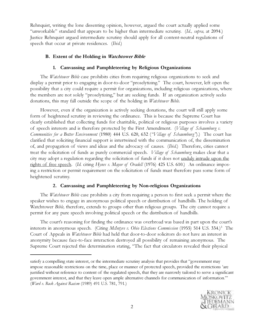Rehnquist, writing the lone dissenting opinion, however, argued the court actually applied some "unworkable" standard that appears to be higher than intermediate scrutiny. (Id., supra, at 2094.) Justice Rehnquist argued intermediate scrutiny should apply for all content-neutral regulations of speech that occur at private residences. (Ibid.)

## B. Extent of the Holding in Watchtower Bible

## 1. Canvassing and Pamphleteering by Religious Organizations

The *Watchtower Bible* case prohibits cities from requiring religious organizations to seek and display a permit prior to engaging in door-to-door "proselytizing." The court, however, left open the possibility that a city could require a permit for organizations, including religious organizations, where the members are not solely "proselytizing," but are seeking funds. If an organization actively seeks donations, this may fall outside the scope of the holding in *Watchtower Bible*.

However, even if the organization is actively seeking donations, the court will still apply some form of heightened scrutiny in reviewing the ordinance. This is because the Supreme Court has clearly established that collecting funds for charitable, political or religious purposes involves a variety of speech interests and is therefore protected by the First Amendment. (Village of Schaumburg v. Communities for a Better Environment (1980) 444 U.S. 620, 632 ("Village of Schaumburg").) The court has clarified that soliciting financial support is intertwined with the communication of, the dissemination of, and propagation of views and ideas and the advocacy of causes. (Ibid.) Therefore, cities cannot treat the solicitation of funds as purely commercial speech. *Village of Schaumburg* makes clear that a city may adopt a regulation regarding the solicitation of funds if it does not unduly intrude upon the rights of free speech. (Id. citing Hynes v. Mayor of Oradell (1976) 425 U.S. 610.) An ordinance imposing a restriction or permit requirement on the solicitation of funds must therefore pass some form of heightened scrutiny.

## 2. Canvassing and Pamphleteering by Non-religious Organizations

The *Watchtower Bible* case prohibits a city from requiring a person to first seek a permit where the speaker wishes to engage in anonymous political speech or distribution of handbills. The holding of Watchtower Bible, therefore, extends to groups other than religious groups. The city cannot require a permit for any pure speech involving political speech or the distribution of handbills.

The court's reasoning for finding the ordinance was overbroad was based in part upon the court's interests in anonymous speech. (Citing McIntyre v. Ohio Elections Commission (1955) 514 U.S. 334.)<sup>3</sup> The Court of Appeals in *Watchtower Bible* had held that door-to-door solicitors do not have an interest in anonymity because face-to-face interaction destroyed all possibility of remaining anonymous. The Supreme Court rejected this determination stating, "The fact that circulators revealed their physical

satisfy a compelling state interest, or the intermediate scrutiny analysis that provides that "government may impose reasonable restrictions on the time, place or manner of protected speech, provided the restrictions 'are justified without reference to content of the regulated speech, that they are narrowly tailored to serve a significant government interest, and that they leave open ample alternative channels for communication of information.'" (Ward v. Rock Against Racism (1989) 491 U.S. 781, 791.)

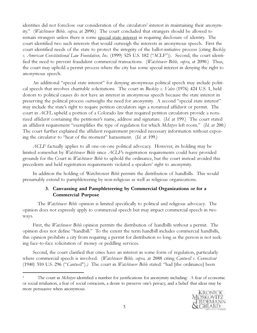identities did not foreclose our consideration of the circulators' interest in maintaining their anonymity." (Watchtower Bible, supra, at 2090.) The court concluded that strangers should be allowed to remain strangers unless there is some special state interest in requiring disclosure of identity. The court identified two such interests that would outweigh the interests in anonymous speech. First the court identified needs of the state to protect the integrity of the ballot-initiative process (citing *Buckley* v. American Constitutional Law Foundation, Inc. (1999) 525 U.S. 182 ("ACLF")). Second, the court identified the need to prevent fraudulent commercial transactions. (Watchtower Bible, supra, at 2090.) Thus, the court may uphold a permit process where the city has some special interest in denying the right to anonymous speech.

An additional "special state interest" for denying anonymous political speech may include political speech that involves charitable solicitations. The court in Buckley v. Valeo (1976) 424 U.S. 1, held donors to political causes do not have an interest in anonymous speech because the state interest in preserving the political process outweighs the need for anonymity. A second "special state interest" may include the state's right to require petition circulators sign a notarized affidavit or permit. The court in ACFL upheld a portion of a Colorado law that required petition circulators provide a notarized affidavit containing the petitioner's name, address and signature. (Id. at 199.) The court stated an affidavit requirement "exemplifies the type of regulation for which McIntyre left room." (Id. at 200.) The court further explained the affidavit requirement provided necessary information without exposing the circulator to "heat of the moment" harassment. (Id. at 199.)

ACLF factually applies to all one-on-one political advocacy. However, its holding may be limited somewhat by *Watchtower Bible* since ACLF's registration requirements could have provided grounds for the Court in *Watchtower Bible* to uphold the ordinance, but the court instead avoided this precedents and held registration requirements violated a speakers' right to anonymity.

In addition the holding of Watchtower Bible permits the distribution of handbills. This would presumably extend to pamphleteering by non-religious as well as religious organizations.

## 3. Canvassing and Pamphleteering by Commercial Organizations or for a Commercial Purpose

The *Watchtower Bible* opinion is limited specifically to political and religious advocacy. The opinion does not expressly apply to commercial speech but may impact commercial speech in two ways.

First, the *Watchtower Bible* opinion permits the distribution of handbills without a permit. The opinion does not define "handbill." To the extent the term handbill includes commercial handbills, this opinion prohibits a city from requiring a permit for distribution so long as the person is not seeking face-to-face solicitation of money or peddling services.

Second, the court clarified that cities have an interest in some form of regulation, particularly where commercial speech is involved. (Watchtower Bible, supra, at 2088 citing Cantwell v. Connecticut (1940) 310 U.S. 296 ("Cantwell").) The court in *Watchtower Bible* stated: "had [the ordinance] been

The court in *McIntyre* identified a number for justifications for anonymity including: A fear of economic or social retaliation, a fear of social ostracism, a desire to preserve one's privacy, and a belief that ideas may be more persuasive when anonymous.

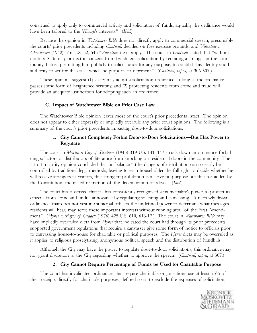construed to apply only to commercial activity and solicitation of funds, arguably the ordinance would have been tailored to the Village's interests." *(Ibid.)* 

Because the opinion in *Watchtower Bible* does not directly apply to commercial speech, presumably the courts' prior precedents including *Cantwell*, decided on free exercise grounds, and *Valentine v.* Christensen (1942) 316 U.S. 52, 54 ("Valentine") will apply. The court in Cantwell stated that "without doubt a State may protect its citizens from fraudulent solicitation by requiring a stranger in the community, before permitting him publicly to solicit funds for any purpose, to establish his identity and his authority to act for the cause which he purports to represent." (Cantwell, supra, at 306-307.)

These opinions suggest (1) a city may adopt a solicitation ordinance so long as the ordinance passes some form of heightened scrutiny, and (2) protecting residents from crime and fraud will provide an adequate justification for adopting such an ordinance.

#### C. Impact of Watchtower Bible on Prior Case Law

The Watchtower Bible opinion leaves most of the court's prior precedents intact. The opinion does not appear to either expressly or impliedly overrule any prior court opinions. The following is a summary of the court's prior precedents impacting door-to-door solicitations.

## 1. City Cannot Completely Forbid Door-to-Door Solicitations—But Has Power to Regulate

The court in Martin v. City of Struthers (1943) 319 U.S. 141, 147 struck down an ordinance forbidding solicitors or distributors of literature from knocking on residential doors in the community. The 5-to-4 majority opinion concluded that on balance "[t]he dangers of distribution can so easily be controlled by traditional legal methods, leaving to each householder the full right to decide whether he will receive strangers as visitors, that stringent prohibition can serve no purpose but that forbidden by the Constitution, the naked restriction of the dissemination of ideas." (Ibid.)

The court has observed that it "has consistently recognized a municipality's power to protect its citizens from crime and undue annoyance by regulating soliciting and canvassing. A narrowly drawn ordinance, that does not vest in municipal officers the undefined power to determine what messages residents will hear, may serve these important interests without running afoul of the First Amendment." (Hynes v. Mayor of Oradell (1976) 425 U.S. 610, 616-17.) The court in *Watchtower Bible* may have impliedly overruled dicta from *Hynes* that indicated the court had through its prior precedents supported government regulations that require a canvasser give some form of notice to officials prior to canvassing house-to-house for charitable or political purposes. The Hynes dicta may be overruled as it applies to religious proselytizing, anonymous political speech and the distribution of handbills.

Although the City may have the power to regulate door-to-door solicitations, this ordinance may not grant discretion to the City regarding whether to approve the speech. *(Cantwell, supra*, at 307.)

#### 2. City Cannot Require Percentage of Funds be Used for Charitable Purpose

The court has invalidated ordinances that require charitable organizations use at least 75% of their receipts directly for charitable purposes, defined so as to exclude the expenses of solicitation,

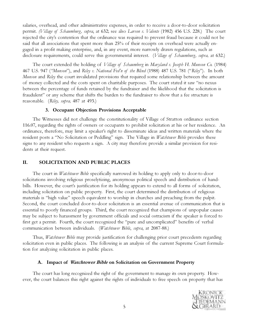salaries, overhead, and other administrative expenses, in order to receive a door-to-door solicitation permit. (Village of Schaumburg, supra, at 632; see also Larson v. Valente (1982) 456 U.S. 228.) The court rejected the city's contention that the ordinance was required to prevent fraud because it could not be said that all associations that spent more than 25% of their receipts on overhead were actually engaged in a profit making enterprise, and, in any event, more narrowly drawn regulations, such as disclosure requirements, could serve this governmental interest. (Village of Schaumburg, supra, at 632.)

The court extended the holding of *Village of Schaumberg* in Maryland v. Joseph H. Munson Co. (1984) 467 U.S. 947 ("Munson"), and Riley v. National Fed'n of the Blind (1988) 487 U.S. 781 ("Riley"). In both *Munson* and *Riley* the court invalidated provisions that required some relationship between the amount of money collected and the costs spent on charitable purposes. The court stated it saw "no nexus between the percentage of funds retained by the fundraiser and the likelihood that the solicitation is fraudulent" or any scheme that shifts the burden to the fundraiser to show that a fee structure is reasonable. (Riley, *supra*, 487 at 493.)

#### 3. Occupant Objection Provisions Acceptable

The Witnesses did not challenge the constitutionality of Village of Stratton ordinance section 116.07, regarding the rights of owners or occupants to prohibit solicitation at his or her residence. An ordinance, therefore, may limit a speaker's right to disseminate ideas and written materials where the resident posts a "No Solicitation or Peddling" sign. The Village in *Watchtower Bible* provides these signs to any resident who requests a sign. A city may therefore provide a similar provision for residents at their request.

## II. SOLICITATION AND PUBLIC PLACES

The court in *Watchtower Bible* specifically narrowed its holding to apply only to door-to-door solicitations involving religious proselytizing, anonymous political speech and distribution of handbills. However, the court's justification for its holding appears to extend to all forms of solicitation, including solicitation on public property. First, the court determined the distribution of religious materials is "high value" speech equivalent to worship in churches and preaching from the pulpit. Second, the court concluded door-to-door solicitation is an essential avenue of communication that is essential to poorly financed groups. Third, the court recognized that champions of unpopular causes may be subject to harassment by government officials and social ostracism if the speaker is forced to first get a permit. Fourth, the court recognized the "pure and uncomplicated" benefits of verbal communication between individuals. (Watchtower Bible, supra, at 2087-88.)

Thus, *Watchtower Bible* may provide justification for challenging prior court precedents regarding solicitation even in public places. The following is an analysis of the current Supreme Court formulation for analyzing solicitation in public places.

## A. Impact of Watchtower Bible on Solicitation on Government Property

The court has long recognized the right of the government to manage its own property. However, the court balances this right against the rights of individuals to free speech on property that has

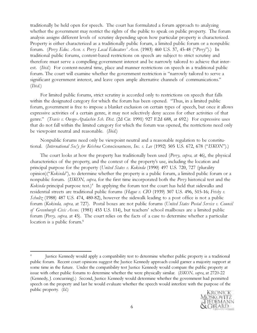traditionally be held open for speech. The court has formulated a forum approach to analyzing whether the government may restrict the rights of the public to speak on public property. The forum analysis assigns different levels of scrutiny depending upon how particular property is characterized. Property is either characterized as a traditionally public forum, a limited public forum or a nonpublic forum. (Perry Educ. Assn. v. Perry Local Educators' Assn. (1983) 460 U.S. 37, 45-48 ("Perry").) In traditional public forums, content-based restrictions on speech are subject to strict scrutiny and therefore must serve a compelling government interest and be narrowly tailored to achieve that interest. *(Ibid.)* For content-neutral time, place and manner restrictions on speech in a traditional public forum. The court will examine whether the government restriction is "narrowly tailored to serve a significant government interest, and leave open ample alternative channels of communications." (Ibid.)

For limited public forums, strict scrutiny is accorded only to restrictions on speech that falls within the designated category for which the forum has been opened. "Thus, in a limited public forum, government is free to impose a blanket exclusion on certain types of speech, but once it allows expressive activities of a certain genre, it may not selectively deny access for other activities of that genre." (Travis v. Owego-Apalachin Sch. Dist. (2d Cir. 1991) 927 F.2d 688, at 692.) For expressive uses that do not fall within the limited category for which the forum was opened, the restrictions need only be viewpoint neutral and reasonable. (Ibid.)

Nonpublic forums need only be viewpoint neutral and a reasonable regulation to be constitutional. (International Soc'y for Krishna Consciousness, Inc. v. Lee (1992) 505 U.S. 672, 678 ("ISKON").)

The court looks at how the property has traditionally been used (*Perry, supra,* at 46), the physical characteristics of the property, and the context of the property's use, including the location and principal purpose for the property (United States v. Kokinda (1990) 497 U.S. 720, 727 (plurality opinion)("Kokinda"), to determine whether the property is a public forum, a limited public forum or a nonpublic forum. (ISKON, supra, for the first time incorporated both the Perry historical test and the Kokinda principal purpose test.)<sup>4</sup> In applying the forum test the court has held that sidewalks and residential streets are traditional public forums (Hague v. CIO (1939) 307 U.S. 496, 515-16; Frisby v. *Schultz* (1988) 487 U.S. 474, 480-82), however the sidewalk leading to a post office is not a public forum (Kokinda, supra, at 727). Postal boxes are not public forums (United States Postal Service v. Council of Greenburgh Civic Assns. (1981) 453 U.S. 114), but teachers' school mailboxes are a limited public forum (Perry, supra, at 45). The court relies on the facts of a case to determine whether a particular location is a public forum.<sup>5</sup>

<sup>4</sup> Justice Kennedy would apply a compatibility test to determine whether public property is a traditional public forum. Recent court opinions suggest the Justice Kennedy approach could garner a majority support at some time in the future. Under the compatibility test Justice Kennedy would compare the public property at issue with other public forums to determine whether the were physically similar. (ISKON, supra, at 2720-22 (Kennedy, J. concurring).) Second, Justice Kennedy would determine whether the government had permitted speech on the property and last he would evaluate whether the speech would interfere with the purpose of the public property. (Id.)

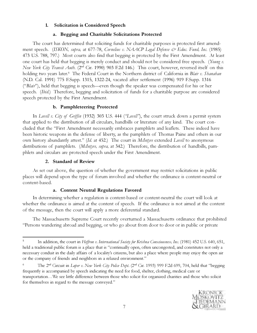## 1. Solicitation is Considered Speech

#### a. Begging and Charitable Solicitations Protected

The court has determined that soliciting funds for charitable purposes is protected first amendment speech. (ISKON, supra, at 677-78, Cornelius v. NAACP Legal Defense & Educ. Fund, Inc. (1985) 473 U.S. 788, 797.) Most courts also find that begging is protected by the First Amendment. At least one court has held that begging is merely conduct and should not be considered free speech. (Young v. New York City Transit Auth. (2<sup>nd</sup> Cir. 1990) 903 F.2d 146.) This court, however, reversed itself on this holding two years later.<sup>6</sup> The Federal Court in the Northern district of California in Blair v. Shanahan (N.D. Cal. 1991) 775 F.Supp. 1315, 1322-24, vacated after settlement (1996) 919 F.Supp. 1316 ("Blair"), held that begging is speech—even though the speaker was compensated for his or her speech. *(Ibid.)* Therefore, begging and solicitation of funds for a charitable purpose are considered speech protected by the First Amendment.

#### b. Pamphleteering Protected

In Lovell v. City of Griffin (1932) 303 U.S. 444 ("Lovell"), the court struck down a permit system that applied to the distribution of all circulars, handbills or literature of any kind. The court concluded that the "First Amendment necessarily embraces pamphlets and leaflets. These indeed have been historic weapons in the defense of liberty, as the pamphlets of Thomas Paine and others in our own history abundantly attest." (Id. at 452.) The court in *McIntyre* extended Lovell to anonymous distributions of pamphlets. *(McIntyre, supra,* at 342.) Therefore, the distribution of handbills, pamphlets and circulars are protected speech under the First Amendment.

#### 2. Standard of Review

As set out above, the question of whether the government may restrict solicitations in public places will depend upon the type of forum involved and whether the ordinance is content-neutral or content-based.

#### a. Content Neutral Regulations Favored

In determining whether a regulation is content-based or content-neutral the court will look at whether the ordinance is aimed at the content of speech. If the ordinance is not aimed at the content of the message, then the court will apply a more deferential standard.

The Massachusetts Supreme Court recently overturned a Massachusetts ordinance that prohibited "Persons wandering abroad and begging, or who go about from door to door or in public or private

<sup>&</sup>lt;sup>6</sup> The 2<sup>nd</sup> Circuit in *Loper v. New York City Police Dept.* (2<sup>nd</sup> Cir. 1993) 999 F.2d 699, 704, held that "begging frequently is accompanied by speech indicating the need for food, shelter, clothing, medical care or transportation…We see little difference between those who solicit for organized charities and those who solicit for themselves in regard to the message conveyed."



<sup>&</sup>lt;sup>5</sup> In addition, the court in Heffron v. International Society for Krishna Consciousness, Inc. (1981) 452 U.S. 640, 651, held a traditional public forum is a place that is "continually open, often uncongested, and constitutes not only a necessary conduit in the daily affairs of a locality's citizens, but also a place where people may enjoy the open air or the company of friends and neighbors in a relaxed environment."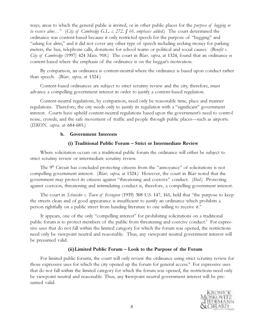ways, areas to which the general public is invited, or in other public places for the *purpose of begging or* to receive alms..." (City of Cambridge G.L. c. 272,  $\int$  66, emphasis added.) The court determined the ordinance was content-based because it only restricted speech for the purpose of "begging" and "asking for alms," and it did not cover any other type of speech including seeking money for parking meters, the bus, telephone calls, donations for school teams or political and social causes. (Benefit v. City of Cambridge (1997) 424 Mass. 918.) The court in Blair, supra, at 1324, found that an ordinance is content-based where the emphasis of the ordinance is on the beggar's motivation.

By comparison, an ordinance is content-neutral where the ordinance is based upon conduct rather than speech. (Blair, supra, at 1324.)

Content-based ordinances are subject to strict scrutiny review and the city, therefore, must advance a compelling government interest in order to justify a content-based regulation.

Content-neutral regulations, by comparison, need only be reasonable time, place and manner regulations. Therefore, the city needs only to justify its regulation with a "significant" government interest. Courts have upheld content-neutral regulations based upon the government's need to control noise, crowds, and the safe movement of traffic and people through public places—such as airports. (ISKON, supra, at 684-685.)

## b. Government Interests

## (i) Traditional Public Forum – Strict or Intermediate Review

Where solicitation occurs on a traditional public forum the ordinance will either be subject to strict scrutiny review or intermediate scrutiny review.

The  $9<sup>th</sup>$  Circuit has concluded protecting citizens from the "annoyance" of solicitations is not compelling government interest. (Blair, supra, at 1324.) However, the court in Blair noted that the government may protect its citizens against "threatening and coercive" conduct. (Ibid.) Protecting against coercion, threatening and intimidating conduct is, therefore, a compelling government interest.

The court in *Schneider v. Town of Irvington* (1939) 308 U.S. 147, 161, held that "the purpose to keep the streets clean and of good appearance is insufficient to justify an ordinance which prohibits a person rightfully on a public street from handing literature to one willing to receive it."

It appears, one of the only "compelling interest" for prohibiting solicitations on a traditional public forum is to protect members of the public from threatening and coercive conduct.<sup>7</sup> For expressive uses that do not fall within the limited category for which the forum was opened, the restrictions need only be viewpoint neutral and reasonable. Thus, any viewpoint neutral government interest will be presumed valid.

## (ii)Limited Public Forum – Look to the Purpose of the Forum

For limited public forums, the court will only review the ordinance using strict scrutiny review for those expressive uses for which the city opened up the forum for general access.<sup>8</sup> For expressive uses that do not fall within the limited category for which the forum was opened, the restrictions need only be viewpoint neutral and reasonable. Thus, any viewpoint neutral government interest will be pre-1 sumed valid.

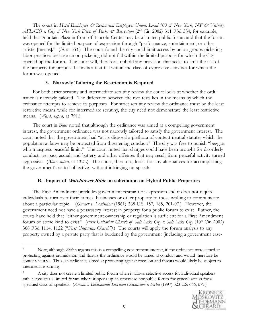The court in Hotel Employees  $\mathcal{O}$  Restaurant Employees Union, Local 100 of New York, NY  $\mathcal{O}$  Vicinity, AFL-CIO v. City of New York Dept. of Parks  $\dot{\mathcal{O}}$  Recreation (2<sup>nd</sup> Cir. 2002) 311 F.3d 534, for example, held that Fountain Plaza in front of Lincoln Center may be a limited public forum and that the forum was opened for the limited purpose of expression through "performance, entertainment, or other artistic [means]." (Id. at 553.) The court found the city could limit access by union groups picketing labor practices because union picketing did not fall within the limited purpose for which the City opened up the forum. The court will, therefore, uphold any provision that seeks to limit the use of the property for proposed activities that fall within the class of expressive activities for which the forum was opened.

#### 3. Narrowly Tailoring the Restriction is Required

For both strict scrutiny and intermediate scrutiny review the court looks at whether the ordinance is narrowly tailored. The difference between the two tests lies in the means by which the ordinance attempts to achieve its purposes. For strict scrutiny review the ordinance must be the least restrictive means while for intermediate scrutiny, the city need not demonstrate the least restrictive means. (*Ward, supra*, at 791.)

The court in *Blair* noted that although the ordinance was aimed at a compelling government interest, the government ordinance was not narrowly tailored to satisfy the government interest. The court noted that the government had "at its disposal a plethora of content-neutral statutes which the population at large may be protected from threatening conduct." The city was free to punish "beggars who transgress peaceful limits." The court noted that charges could have been brought for disorderly conduct, trespass, assault and battery, and other offenses that may result from peaceful activity turned aggressive. (*Blair, supra*, at 1324.) The court, therefore, looks for any alternatives for accomplishing the government's stated objectives without infringing on speech.

## B. Impact of Watchtower Bible on solicitation on Hybrid Public Properties

The First Amendment precludes government restraint of expression and it does not require individuals to turn over their homes, businesses or other property to those wishing to communicate about a particular topic. (Garner v. Louisiana (1961) 368 U.S. 157, 185, 201-07.) However, the government need not have a possessory interest in property for a public forum to exist. Rather, the courts have held that "either government ownership or regulation is sufficient for a First Amendment forum of some kind to exist." (First Unitarian Church of Salt Lake City v. Salt Lake City (10<sup>th</sup> Cir. 2002) 308 F.3d 1114, 1122 ("First Unitarian Church").) The courts will apply the forum analysis to any property owned by a private party that is burdened by the government (including a government ease-

<sup>8</sup> A city does not create a limited public forum when it allows selective access for individual speakers rather it creates a limited forum where it opens up an otherwise nonpublic forum for general access for a specified class of speakers. (Arkansas Educational Television Commission v. Forbes (1997) 523 U.S. 666, 679.)



Note, although Blair suggests this is a compelling government interest, if the ordinance were aimed at protecting against intimidation and threats the ordinance would be aimed at conduct and would therefore be content-neutral. Thus, an ordinance aimed at protecting against coercion and threats would likely be subject to intermediate scrutiny.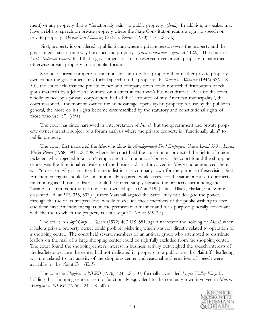ment) or any property that is "functionally akin" to public property. (*Ibid.*) In addition, a speaker may have a right to speech on private property where the State Constitution grants a right to speech on private property. (PruneYard Shopping Center v. Robins (1980) 447 U.S. 74.)

First, property is considered a public forum where a private person owns the property and the government has in some way burdened the property. (First Unitarians, supra, at 1122.) The court in First Unitarian Church held that a government easement reserved over private property transformed otherwise private property into a public forum.

Second, if private property is functionally akin to public property then neither private property owners nor the government may forbid speech on the property. In *Marsh v. Alabama* (1946) 326 U.S. 501, the court held that the private owner of a company town could not forbid distribution of religious materials by a Jehovah's Witness on a street in the town's business district. Because the town, wholly owned by a private corporation, had all the "attributes of any American municipality", the court reasoned, "the more an owner, for his advantage, opens up his property for use by the public in general, the more do his rights become circumscribed by the statutory and constitutional rights of those who use it." *(Ibid.)* 

The court has since narrowed its interpretation of *Marsh*, but the government and private property owners are still subject to a forum analysis where the private property is "functionally akin" to public property.

The court first narrowed the Marsh holding in *Amalgamated Food Employees Union Local 590 v. Logan* Valley Plaza (1968) 391 U.S. 308, where the court held the constitution protected the rights of union picketers who objected to a store's employment of nonunion laborers. The court found the shopping center was the functional equivalent of the business district involved in *Marsh* and announced there was "no reason why access to a business district in a company town for the purpose of exercising First Amendment rights should be constitutionally required, while access for the same purpose to property functioning as a business district should be limited simply because the property surrounding the 'business district' is not under the same ownership.'" (Id. at 319. Justices Black, Harlan, and White dissented. Id. at 327, 333, 337.) Justice Marshall argued the State "may not delegate the power, through the use of its trespass laws, wholly to exclude those members of the public wishing to exercise their First Amendment rights on the premises in a manner and for a purpose generally consonant with the use to which the property is actually put." (Id. at 319-20.)

The court in  $L\ell\nu\ell$  Corp. v. Tanner (1972) 407 U.S. 551, again narrowed the holding of Marsh when it held a private property owner could prohibit picketing which was not directly related to operation of a shopping center. The court held several members of an antiwar group who attempted to distribute leaflets on the mall of a large shopping center could be rightfully excluded from the shopping center. The court found the shopping center's interest in business activity outweighed the speech interests of the leafleters because the center had not dedicated its property to a public use, the Plaintiffs' leafleting was not related to any activity of the shopping center and reasonable alternatives of speech were available to the Plaintiffs. (Ibid.)

The court in *Hugdens v. NLRB* (1976) 424 U.S. 507, formally overruled *Logan Valley Plaza* by holding that shopping centers are not functionally equivalent to the company town involved in Marsh. (Hudgens v. NLRB (1976) 424 U.S. 507.)

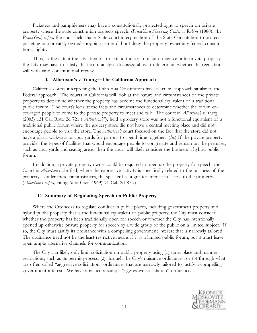Picketers and pamphleteers may have a constitutionally protected right to speech on private property where the state constitution protects speech. (*PruneYard Shopping Center v. Robins* (1980). In PruneYard, supra, the court held that a State court interpretation of the State Constitution to protect picketing in a privately owned shopping center did not deny the property owner any federal constitutional rights.

Thus, to the extent the city attempts to extend the reach of an ordinance onto private property, the City may have to satisfy the forum analysis discussed above to determine whether the regulation will withstand constitutional review.

#### 1. Albertson's v. Young—The California Approach

California courts interpreting the California Constitution have taken an approach similar to the Federal approach. The courts in California will look at the nature and circumstances of the private property to determine whether the property has become the functional equivalent of a traditional public forum. The court's look at the facts and circumstances to determine whether the forum encouraged people to come to the private property to meet and talk. The court in Albertson's v. Young (2003) 131 Cal. Rptr. 2d 721 ("Albertson's"), held a grocery store was not a functional equivalent of a traditional public forum where the grocery store did not have a central meeting place and did not encourage people to visit the store. The *Albertson's* court focused on the fact that the store did not have a plaza, walkways or courtyards for patrons to spend time together. (Id.) If the private property provides the types of facilities that would encourage people to congregate and remain on the premises, such as courtyards and seating areas, then the court will likely consider the business a hybrid public forum.

In addition, a private property owner could be required to open up the property for speech, the Court in Albertson's clarified, where the expressive activity is specifically related to the business of the property. Under these circumstances, the speaker has a greater interest in access to the property. (Albertson's supra, citing In re Lane (1969) 71 Cal. 2d 872.)

#### C. Summary of Regulating Speech on Public Property

Where the City seeks to regulate conduct in public places, including government property and hybrid public property that is the functional equivalent of public property, the City must consider whether the property has been traditionally open for speech or whether the City has intentionally opened up otherwise private property for speech by a wide group of the public on a limited subject. If so, the City must justify its ordinance with a compelling government interest that is narrowly tailored. The ordinance need not be the least restrictive means if it is a limited public forum, but it must leave open ample alternative channels for communication.

The City can likely only limit solicitation on public property using (1) time, place and manner restrictions, such as its permit process, (2) through the City's nuisance ordinances; or (3) through what are often called "aggressive solicitation" ordinances that are narrowly tailored to justify a compelling government interest. We have attached a sample "aggressive solicitation" ordinance.

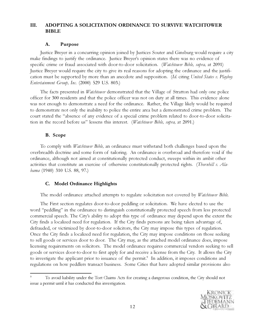# III. ADOPTING A SOLICITATION ORDINANCE TO SURVIVE WATCHTOWER **BIBLE**

## A. Purpose

Justice Breyer in a concurring opinion joined by Justices Souter and Ginsburg would require a city make findings to justify the ordinance. Justice Breyer's opinion states there was no evidence of specific crime or fraud associated with door-to-door solicitation. (Watchtower Bible, supra, at 2091) Justice Breyer would require the city to give its real reasons for adopting the ordinance and the justification must be supported by more than an anecdote and supposition. (Id. citing United States v. Playboy Entertainment Group, Inc. (2000) 529 U.S. 803.)

The facts presented in *Watchtower* demonstrated that the Village of Stratton had only one police officer for 300 residents and that the police officer was not on duty at all times. This evidence alone was not enough to demonstrate a need for the ordinance. Rather, the Village likely would be required to demonstrate not only the inability to police the entire area but a demonstrated crime problem. The court stated the "absence of any evidence of a special crime problem related to door-to-door solicitation in the record before us" lessens this interest. (Watchtower Bible, supra, at 2091.)

## B. Scope

To comply with *Watchtower Bible*, an ordinance must withstand both challenges based upon the overbreadth doctrine and some form of tailoring. An ordinance is overbroad and therefore void if the ordinance, although not aimed at constitutionally protected conduct, sweeps within its ambit other activities that constitute an exercise of otherwise constitutionally protected rights. (Thornhill v. Alabama (1940) 310 U.S. 88, 97.)

# C. Model Ordinance Highlights

The model ordinance attached attempts to regulate solicitation not covered by *Watchtower Bible*.

The First section regulates door-to-door peddling or solicitation. We have elected to use the word "peddling" in the ordinance to distinguish constitutionally protected speech from less protected commercial speech. The City's ability to adopt this type of ordinance may depend upon the extent the City finds a localized need for regulation. If the City finds persons are being taken advantage of, defrauded, or victimized by door-to-door solicitors, the City may impose this types of regulation. Once the City finds a localized need for regulation, the City may impose conditions on those seeking to sell goods or services door to door. The City may, as the attached model ordinance does, impose licensing requirements on solicitors. The model ordinance requires commercial vendors seeking to sell goods or services door-to-door to first apply for and receive a license from the City. It allows the City to investigate the applicant prior to issuance of the permit.<sup>9</sup> In addition, it imposes conditions and regulations on how peddlers transact business. Some Cities that have adopted similar provisions also

<sup>9</sup> To avoid liability under the Tort Claims Acts for creating a dangerous condition, the City should not issue a permit until it has conducted this investigation.

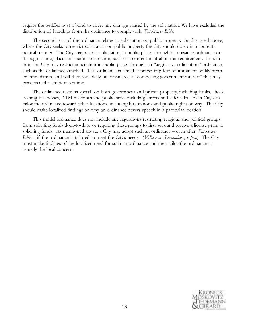require the peddler post a bond to cover any damage caused by the solicitation. We have excluded the distribution of handbills from the ordinance to comply with *Watchtower Bible*.

The second part of the ordinance relates to solicitation on public property. As discussed above, where the City seeks to restrict solicitation on public property the City should do so in a contentneutral manner. The City may restrict solicitation in public places through its nuisance ordinance or through a time, place and manner restriction, such as a content-neutral permit requirement. In addition, the City may restrict solicitation in public places through an "aggressive solicitation" ordinance, such as the ordinance attached. This ordinance is aimed at preventing fear of imminent bodily harm or intimidation, and will therefore likely be considered a "compelling government interest" that may pass even the strictest scrutiny.

The ordinance restricts speech on both government and private property, including banks, check cashing businesses, ATM machines and public areas including streets and sidewalks. Each City can tailor the ordinance toward other locations, including bus stations and public rights of way. The City should make localized findings on why an ordinance covers speech in a particular location.

This model ordinance does not include any regulations restricting religious and political groups from soliciting funds door-to-door or requiring these groups to first seek and receive a license prior to soliciting funds. As mentioned above, a City may adopt such an ordinance – even after *Watchtower*  $Bible$  – if the ordinance is tailored to meet the City's needs. (*Village of Schaumberg, supra.*) The City must make findings of the localized need for such an ordinance and then tailor the ordinance to remedy the local concern.

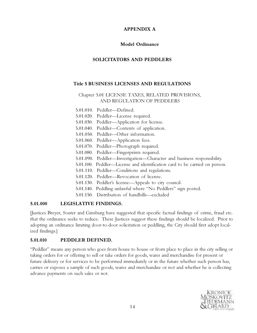# APPENDIX A

# Model Ordinance

# SOLICITATORS AND PEDDLERS

## Title 5 BUSINESS LICENSES AND REGULATIONS

# Chapter 5.01 LICENSE TAXES, RELATED PROVISIONS, AND REGULATION OF PEDDLERS

5.01.010. Peddler—Defined.

- 5.01.020. Peddler—License required.
- 5.01.030. Peddler—Application for license.
- 5.01.040. Peddler—Contents of application.
- 5.01.050. Peddler—Other information.
- 5.01.060. Peddler—Application fees.
- 5.01.070. Peddler—Photograph required.
- 5.01.080. Peddler—Fingerprints required.
- 5.01.090. Peddler—Investigation—Character and business responsibility.
- 5.01.100. Peddler—License and identification card to be carried on person.
- 5.01.110. Peddler—Conditions and regulations.
- 5.01.120. Peddler—Revocation of license.
- 5.01.130. Peddler's license—Appeals to city council.
- 5.01.140. Peddling unlawful where "No Peddlers" sign posted.
- 5.01.150. Distribution of handbills—excluded

## 5.01.000 LEGISLATIVE FINDINGS.

[Justices Breyer, Souter and Ginsburg have suggested that specific factual findings of crime, fraud etc. that the ordinance seeks to reduce. These Justices suggest these findings should be localized. Prior to adopting an ordinance limiting door-to-door solicitation or peddling, the City should first adopt localized findings.]

# 5.01.010 PEDDLER DEFINED.

"Peddler" means any person who goes from house to house or from place to place in the city selling or taking orders for or offering to sell or take orders for goods, wares and merchandise for present or future delivery or for services to be performed immediately or in the future whether such person has, carries or exposes a sample of such goods, wares and merchandise or not and whether he is collecting advance payments on such sales or not.

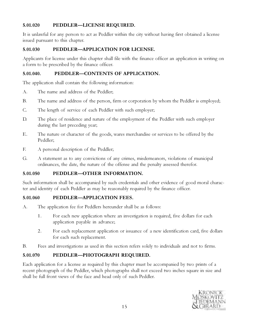# 5.01.020 PEDDLER—LICENSE REQUIRED.

It is unlawful for any person to act as Peddler within the city without having first obtained a license issued pursuant to this chapter.

# 5.01.030 PEDDLER—APPLICATION FOR LICENSE.

Applicants for license under this chapter shall file with the finance officer an application in writing on a form to be prescribed by the finance officer.

# 5.01.040. PEDDLER—CONTENTS OF APPLICATION.

The application shall contain the following information:

- A. The name and address of the Peddler;
- B. The name and address of the person, firm or corporation by whom the Peddler is employed;
- C. The length of service of each Peddler with such employer;
- D. The place of residence and nature of the employment of the Peddler with such employer during the last preceding year;
- E. The nature or character of the goods, wares merchandise or services to be offered by the Peddler;
- F. A personal description of the Peddler;
- G. A statement as to any convictions of any crimes, misdemeanors, violations of municipal ordinances, the date, the nature of the offense and the penalty assessed therefor.

# 5.01.050 PEDDLER—OTHER INFORMATION.

Such information shall be accompanied by such credentials and other evidence of good moral character and identity of each Peddler as may be reasonably required by the finance officer.

# 5.01.060 PEDDLER—APPLICATION FEES.

- A. The application fee for Peddlers hereunder shall be as follows:
	- 1. For each new application where an investigation is required, five dollars for each application payable in advance;
	- 2. For each replacement application or issuance of a new identification card, five dollars for each such replacement.
- B. Fees and investigations as used in this section refers solely to individuals and not to firms.

# 5.01.070 PEDDLER—PHOTOGRAPH REQUIRED.

Each application for a license as required by this chapter must be accompanied by two prints of a recent photograph of the Peddler, which photographs shall not exceed two inches square in size and shall be full front views of the face and head only of such Peddler.

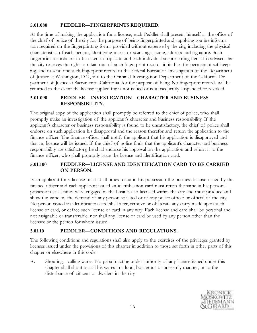# 5.01.080 PEDDLER—FINGERPRINTS REQUIRED.

At the time of making the application for a license, each Peddler shall present himself at the office of the chief of police of the city for the purpose of being fingerprinted and supplying routine information required on the fingerprinting forms provided without expense by the city, including the physical characteristics of each person, identifying marks or scars, age, name, address and signature. Such fingerprint records are to be taken in triplicate and each individual so presenting herself is advised that the city reserves the right to retain one of such fingerprint records in its files for permanent safekeeping, and to send one such fingerprint record to the Federal Bureau of Investigation of the Department of Justice at Washington, D.C., and to the Criminal Investigation Department of the California Department of Justice at Sacramento, California, for the purpose of filing. No fingerprint records will be returned in the event the license applied for is not issued or is subsequently suspended or revoked.

# 5.01.090 PEDDLER—INVESTIGATION—CHARACTER AND BUSINESS RESPONSIBILITY.

The original copy of the application shall promptly be referred to the chief of police, who shall promptly make an investigation of the applicant's character and business responsibility. If the applicant's character or business responsibility is found to be unsatisfactory, the chief of police shall endorse on such application his disapproval and the reason therefor and return the application to the finance officer. The finance officer shall notify the applicant that his application is disapproved and that no license will be issued. If the chief of police finds that the applicant's character and business responsibility are satisfactory, he shall endorse his approval on the application and return it to the finance officer, who shall promptly issue the license and identification card.

# 5.01.100 PEDDLER—LICENSE AND IDENTIFICATION CARD TO BE CARRIED ON PERSON.

Each applicant for a license must at all times retain in his possession the business license issued by the finance officer and each applicant issued an identification card must retain the same in his personal possession at all times were engaged in the business so licensed within the city and must produce and show the same on the demand of any person solicited or of any police officer or official of the city. No person issued an identification card shall alter, remove or obliterate any entry made upon such license or card, or deface such license or card in any way. Each license and card shall be personal and not assignable or transferable, nor shall any license or card be used by any person other than the licensee or the person for whom issued.

# 5.01.10 PEDDLER—CONDITIONS AND REGULATIONS.

The following conditions and regulations shall also apply to the exercises of the privileges granted by licenses issued under the provisions of this chapter in addition to those set forth in other parts of this chapter or elsewhere in this code:

A. Shouting—calling wares. No person acting under authority of any license issued under this chapter shall shout or call his wares in a loud, boisterous or unseemly manner, or to the disturbance of citizens or dwellers in the city.

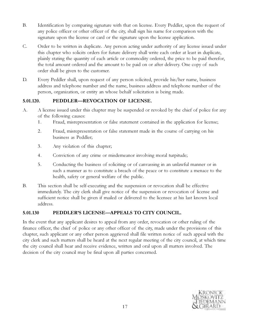- B. Identification by comparing signature with that on license. Every Peddler, upon the request of any police officer or other officer of the city, shall sign his name for comparison with the signature upon the license or card or the signature upon the license application.
- C. Order to be written in duplicate. Any person acting under authority of any license issued under this chapter who solicits orders for future delivery shall write each order at least in duplicate, plainly stating the quantity of each article or commodity ordered, the price to be paid therefor, the total amount ordered and the amount to be paid on or after delivery. One copy of such order shall be given to the customer.
- D. Every Peddler shall, upon request of any person solicited, provide his/her name, business address and telephone number and the name, business address and telephone number of the person, organization, or entity an whose behalf solicitation is being made.

# 5.01.120. PEDDLER—REVOCATION OF LICENSE.

- A. A license issued under this chapter may be suspended or revoked by the chief of police for any of the following causes:
	- 1. Fraud, misrepresentation or false statement contained in the application for license;
	- 2. Fraud, misrepresentation or false statement made in the course of carrying on his business as Peddler;
	- 3. Any violation of this chapter;
	- 4. Conviction of any crime or misdemeanor involving moral turpitude;
	- 5. Conducting the business of soliciting or of canvassing in an unlawful manner or in such a manner as to constitute a breach of the peace or to constitute a menace to the health, safety or general welfare of the public.
- B. This section shall be self-executing and the suspension or revocation shall be effective immediately. The city clerk shall give notice of the suspension or revocation of license and sufficient notice shall be given if mailed or delivered to the licensee at his last known local address.

# 5.01.130 PEDDLER'S LICENSE—APPEALS TO CITY COUNCIL.

In the event that any applicant desires to appeal from any order, revocation or other ruling of the finance officer, the chief of police or any other officer of the city, made under the provisions of this chapter, such applicant or any other person aggrieved shall file written notice of such appeal with the city clerk and such matters shall be heard at the next regular meeting of the city council, at which time the city council shall hear and receive evidence, written and oral upon all matters involved. The decision of the city council may be final upon all parties concerned.

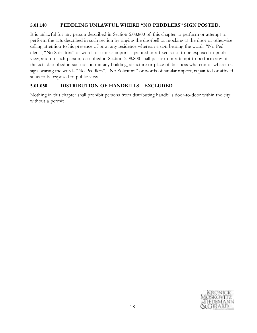# 5.01.140 PEDDLING UNLAWFUL WHERE "NO PEDDLERS" SIGN POSTED.

It is unlawful for any person described in Section 5.08.800 of this chapter to perform or attempt to perform the acts described in such section by ringing the doorbell or mocking at the door or otherwise calling attention to his presence of or at any residence whereon a sign bearing the words "No Peddlers", "No Solicitors" or words of similar import is painted or affixed so as to be exposed to public view, and no such person, described in Section 5.08.800 shall perform or attempt to perform any of the acts described in such section in any building, structure or place of business whereon or wherein a sign bearing the words "No Peddlers", "No Solicitors" or words of similar import, is painted or affixed so as to be exposed to public view.

# 5.01.050 DISTRIBUTION OF HANDBILLS—EXCLUDED

Nothing in this chapter shall prohibit persons from distributing handbills door-to-door within the city without a permit.

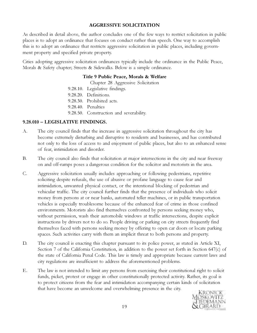## AGGRESSIVE SOLICITATION

As described in detail above, the author concludes one of the few ways to restrict solicitation in public places is to adopt an ordinance that focuses on conduct rather than speech. One way to accomplish this is to adopt an ordinance that restricts aggressive solicitation in public places, including government property and specified private property.

Cities adopting aggressive solicitation ordinances typically include the ordinance in the Public Peace, Morals & Safety chapter; Streets & Sidewalks. Below is a simple ordinance.

#### Title 9 Public Peace, Morals & Welfare

Chapter 28 Aggressive Solicitation

- 9.28.10. Legislative findings.
- 9.28.20. Definitions.
- 9.28.30. Prohibited acts.
- 9.28.40. Penalties
- 9.28.50. Construction and severability.

# 9.28.010 – LEGISLATIVE FINDINGS.

- A. The city council finds that the increase in aggressive solicitation throughout the city has become extremely disturbing and disruptive to residents and businesses, and has contributed not only to the loss of access to and enjoyment of public places, but also to an enhanced sense of fear, intimidation and disorder.
- B. The city council also finds that solicitation at major intersections in the city and near freeway on and off-ramps poses a dangerous condition for the solicitor and motorists in the area.
- C. Aggressive solicitation usually includes approaching or following pedestrians, repetitive soliciting despite refusals, the use of abusive or profane language to cause fear and intimidation, unwanted physical contact, or the intentional blocking of pedestrian and vehicular traffic. The city council further finds that the presence of individuals who solicit money from persons at or near banks, automated teller machines, or in public transportation vehicles is especially troublesome because of the enhanced fear of crime in those confined environments. Motorists also find themselves confronted by persons seeking money who, without permission, wash their automobile windows at traffic intersections, despite explicit instructions by drivers not to do so. People driving or parking on city streets frequently find themselves faced with persons seeking money by offering to open car doors or locate parking spaces. Such activities carry with them an implicit threat to both persons and property.
- D. The city council is enacting this chapter pursuant to its police power, as stated in Article XI, Section 7 of the California Constitution, in addition to the power set forth in Section 647(c) of the state of California Penal Code. This law is timely and appropriate because current laws and city regulations are insufficient to address the aforementioned problems.
- E. The law is not intended to limit any persons from exercising their constitutional right to solicit funds, picket, protest or engage in other constitutionally protected activity. Rather, its goal is to protect citizens from the fear and intimidation accompanying certain kinds of solicitation that have become an unwelcome and overwhelming presence in the city.

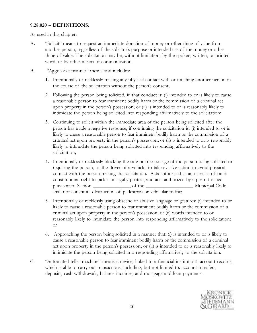## 9.28.020 – DEFINITIONS.

As used in this chapter:

- A. "Solicit" means to request an immediate donation of money or other thing of value from another person, regardless of the solicitor's purpose or intended use of the money or other thing of value. The solicitation may be, without limitation, by the spoken, written, or printed word, or by other means of communication.
- B. "Aggressive manner" means and includes:
	- 1. Intentionally or recklessly making any physical contact with or touching another person in the course of the solicitation without the person's consent;
	- 2. Following the person being solicited, if that conduct is: (i) intended to or is likely to cause a reasonable person to fear imminent bodily harm or the commission of a criminal act upon property in the person's possession; or (ii) is intended to or is reasonably likely to intimidate the person being solicited into responding affirmatively to the solicitation;
	- 3. Continuing to solicit within the immediate area of the person being solicited after the person has made a negative response, if continuing the solicitation is: (i) intended to or is likely to cause a reasonable person to fear imminent bodily harm or the commission of a criminal act upon property in the person's possession; or (ii) is intended to or is reasonably likely to intimidate the person being solicited into responding affirmatively to the solicitation;
	- 4. Intentionally or recklessly blocking the safe or free passage of the person being solicited or requiring the person, or the driver of a vehicle, to take evasive action to avoid physical contact with the person making the solicitation. Acts authorized as an exercise of one's constitutional right to picket or legally protest, and acts authorized by a permit issued pursuant to Section \_\_\_\_\_\_\_\_\_\_\_\_\_\_\_\_\_\_\_\_ of the \_\_\_\_\_\_\_\_\_\_\_\_\_\_\_\_\_\_\_\_\_\_\_\_\_\_\_\_\_\_\_\_\_ Municipal Code, shall not constitute obstruction of pedestrian or vehicular traffic;
	- 5. Intentionally or recklessly using obscene or abusive language or gestures: (i) intended to or likely to cause a reasonable person to fear imminent bodily harm or the commission of a criminal act upon property in the person's possession; or (ii) words intended to or reasonably likely to intimidate the person into responding affirmatively to the solicitation; or
	- 6. Approaching the person being solicited in a manner that: (i) is intended to or is likely to cause a reasonable person to fear imminent bodily harm or the commission of a criminal act upon property in the person's possession; or (ii) is intended to or is reasonably likely to intimidate the person being solicited into responding affirmatively to the solicitation.
- C. "Automated teller machine" means a device, linked to a financial institution's account records, which is able to carry out transactions, including, but not limited to: account transfers, deposits, cash withdrawals, balance inquiries, and mortgage and loan payments.